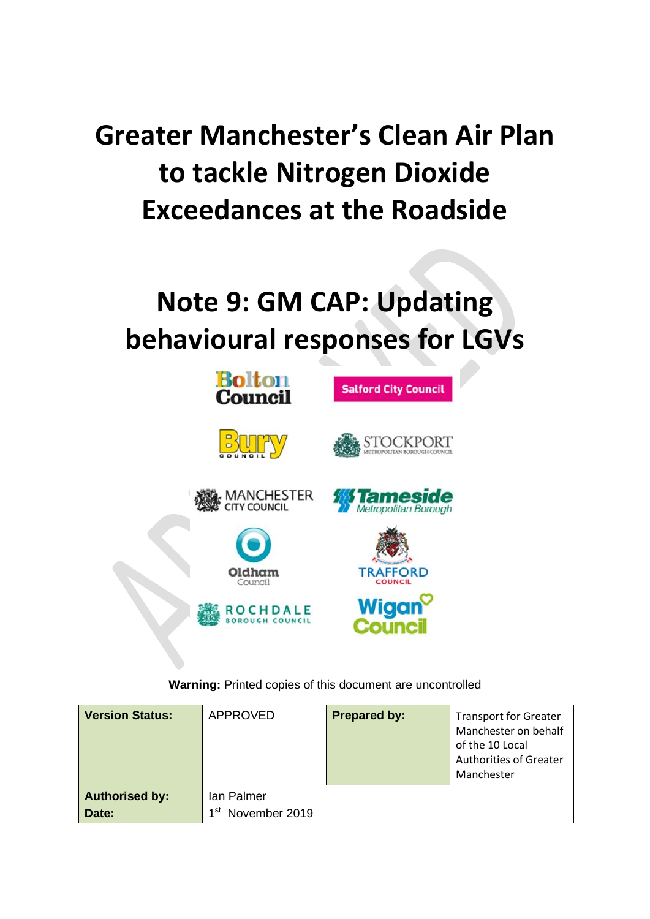# **Greater Manchester's Clean Air Plan to tackle Nitrogen Dioxide Exceedances at the Roadside**

# **Note 9: GM CAP: Updating behavioural responses for LGVs**



**Warning:** Printed copies of this document are uncontrolled

| <b>Version Status:</b>         | <b>APPROVED</b>                             | <b>Prepared by:</b> | <b>Transport for Greater</b><br>Manchester on behalf<br>of the 10 Local<br><b>Authorities of Greater</b><br>Manchester |
|--------------------------------|---------------------------------------------|---------------------|------------------------------------------------------------------------------------------------------------------------|
| <b>Authorised by:</b><br>Date: | Ian Palmer<br>1 <sup>st</sup> November 2019 |                     |                                                                                                                        |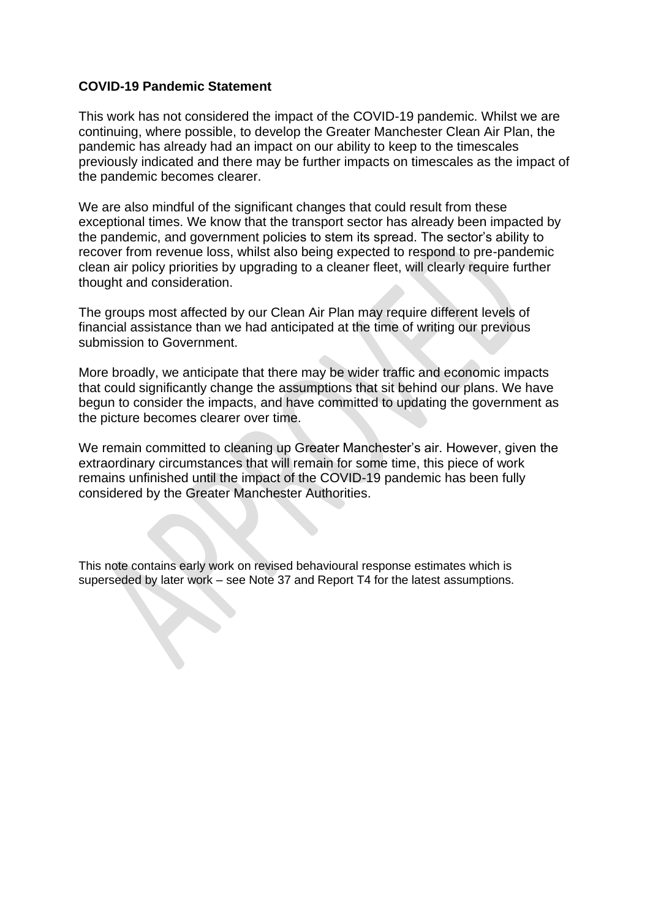## **COVID-19 Pandemic Statement**

This work has not considered the impact of the COVID-19 pandemic. Whilst we are continuing, where possible, to develop the Greater Manchester Clean Air Plan, the pandemic has already had an impact on our ability to keep to the timescales previously indicated and there may be further impacts on timescales as the impact of the pandemic becomes clearer.

We are also mindful of the significant changes that could result from these exceptional times. We know that the transport sector has already been impacted by the pandemic, and government policies to stem its spread. The sector's ability to recover from revenue loss, whilst also being expected to respond to pre-pandemic clean air policy priorities by upgrading to a cleaner fleet, will clearly require further thought and consideration.

The groups most affected by our Clean Air Plan may require different levels of financial assistance than we had anticipated at the time of writing our previous submission to Government.

More broadly, we anticipate that there may be wider traffic and economic impacts that could significantly change the assumptions that sit behind our plans. We have begun to consider the impacts, and have committed to updating the government as the picture becomes clearer over time.

We remain committed to cleaning up Greater Manchester's air. However, given the extraordinary circumstances that will remain for some time, this piece of work remains unfinished until the impact of the COVID-19 pandemic has been fully considered by the Greater Manchester Authorities.

This note contains early work on revised behavioural response estimates which is superseded by later work – see Note 37 and Report T4 for the latest assumptions.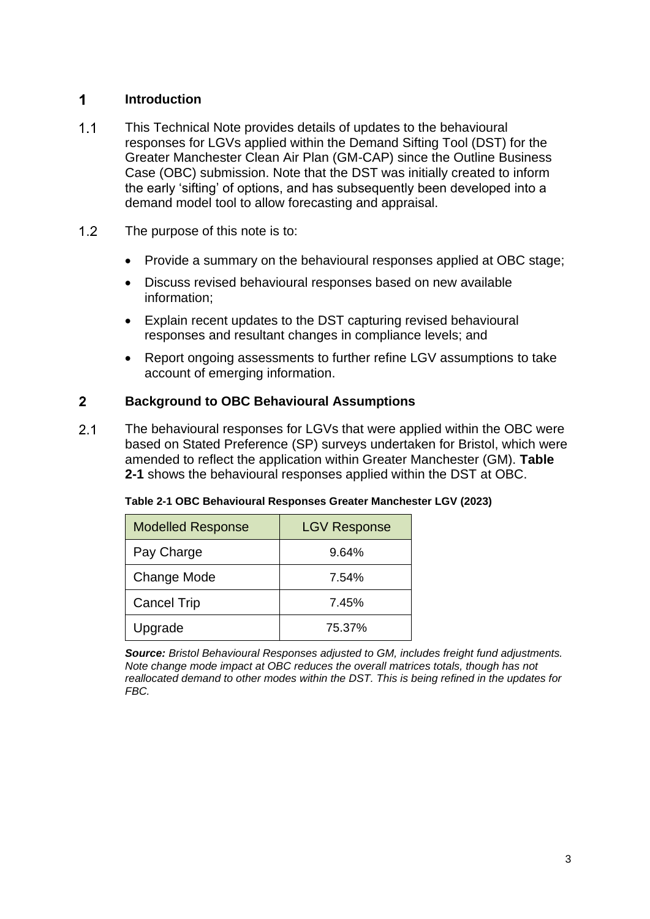#### $\mathbf 1$ **Introduction**

- $1.1$ This Technical Note provides details of updates to the behavioural responses for LGVs applied within the Demand Sifting Tool (DST) for the Greater Manchester Clean Air Plan (GM-CAP) since the Outline Business Case (OBC) submission. Note that the DST was initially created to inform the early 'sifting' of options, and has subsequently been developed into a demand model tool to allow forecasting and appraisal.
- $1.2$ The purpose of this note is to:
	- Provide a summary on the behavioural responses applied at OBC stage;
	- Discuss revised behavioural responses based on new available information;
	- Explain recent updates to the DST capturing revised behavioural responses and resultant changes in compliance levels; and
	- Report ongoing assessments to further refine LGV assumptions to take account of emerging information.

#### $2<sup>1</sup>$ **Background to OBC Behavioural Assumptions**

 $2.1$ The behavioural responses for LGVs that were applied within the OBC were based on Stated Preference (SP) surveys undertaken for Bristol, which were amended to reflect the application within Greater Manchester (GM). **[Table](#page-2-0)  [2-1](#page-2-0)** shows the behavioural responses applied within the DST at OBC.

<span id="page-2-0"></span>

| Table 2-1 OBC Behavioural Responses Greater Manchester LGV (2023) |  |
|-------------------------------------------------------------------|--|
|-------------------------------------------------------------------|--|

| <b>Modelled Response</b> | <b>LGV Response</b> |
|--------------------------|---------------------|
| Pay Charge               | 9.64%               |
| Change Mode              | 7.54%               |
| <b>Cancel Trip</b>       | 7.45%               |
| Upgrade                  | 75.37%              |

*Source: Bristol Behavioural Responses adjusted to GM, includes freight fund adjustments. Note change mode impact at OBC reduces the overall matrices totals, though has not reallocated demand to other modes within the DST. This is being refined in the updates for FBC.*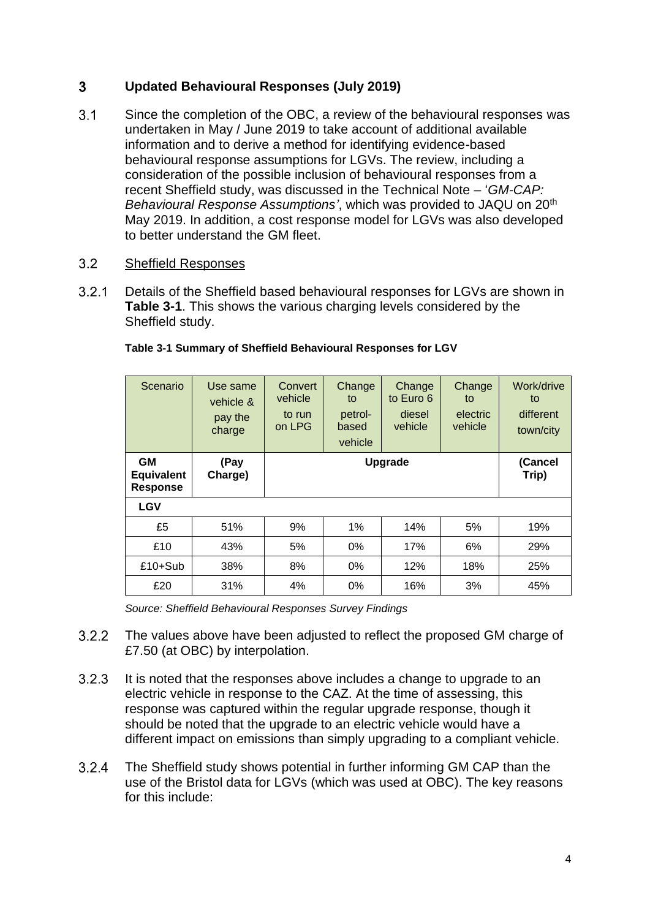#### $3<sup>1</sup>$ **Updated Behavioural Responses (July 2019)**

 $3.1$ Since the completion of the OBC, a review of the behavioural responses was undertaken in May / June 2019 to take account of additional available information and to derive a method for identifying evidence-based behavioural response assumptions for LGVs. The review, including a consideration of the possible inclusion of behavioural responses from a recent Sheffield study, was discussed in the Technical Note – '*GM-CAP: Behavioural Response Assumptions'*, which was provided to JAQU on 20th May 2019. In addition, a cost response model for LGVs was also developed to better understand the GM fleet.

#### $3.2$ Sheffield Responses

 $3.2.1$ Details of the Sheffield based behavioural responses for LGVs are shown in **[Table 3-1](#page-3-0)**. This shows the various charging levels considered by the Sheffield study.

| Scenario                                          | Use same<br>vehicle &<br>pay the<br>charge | Convert<br>vehicle<br>to run<br>on LPG | Change<br>to<br>petrol-<br>based<br>vehicle | Change<br>to Euro 6<br>diesel<br>vehicle | Change<br>to<br>electric<br>vehicle | Work/drive<br>to<br>different<br>town/city |
|---------------------------------------------------|--------------------------------------------|----------------------------------------|---------------------------------------------|------------------------------------------|-------------------------------------|--------------------------------------------|
| <b>GM</b><br><b>Equivalent</b><br><b>Response</b> | (Pay<br>Charge)                            | <b>Upgrade</b>                         |                                             |                                          | (Cancel<br>Trip)                    |                                            |
| <b>LGV</b>                                        |                                            |                                        |                                             |                                          |                                     |                                            |
| £5                                                | 51%                                        | 9%                                     | 1%                                          | 14%                                      | 5%                                  | 19%                                        |
| £10                                               | 43%                                        | 5%                                     | $0\%$                                       | 17%                                      | 6%                                  | 29%                                        |
| $£10+Sub$                                         | 38%                                        | 8%                                     | 0%                                          | 12%                                      | 18%                                 | 25%                                        |
| £20                                               | 31%                                        | 4%                                     | 0%                                          | 16%                                      | 3%                                  | 45%                                        |

## <span id="page-3-0"></span>**Table 3-1 Summary of Sheffield Behavioural Responses for LGV**

*Source: Sheffield Behavioural Responses Survey Findings*

- $3.2.2$ The values above have been adjusted to reflect the proposed GM charge of £7.50 (at OBC) by interpolation.
- $3.2.3$ It is noted that the responses above includes a change to upgrade to an electric vehicle in response to the CAZ. At the time of assessing, this response was captured within the regular upgrade response, though it should be noted that the upgrade to an electric vehicle would have a different impact on emissions than simply upgrading to a compliant vehicle.
- The Sheffield study shows potential in further informing GM CAP than the  $3.2.4$ use of the Bristol data for LGVs (which was used at OBC). The key reasons for this include: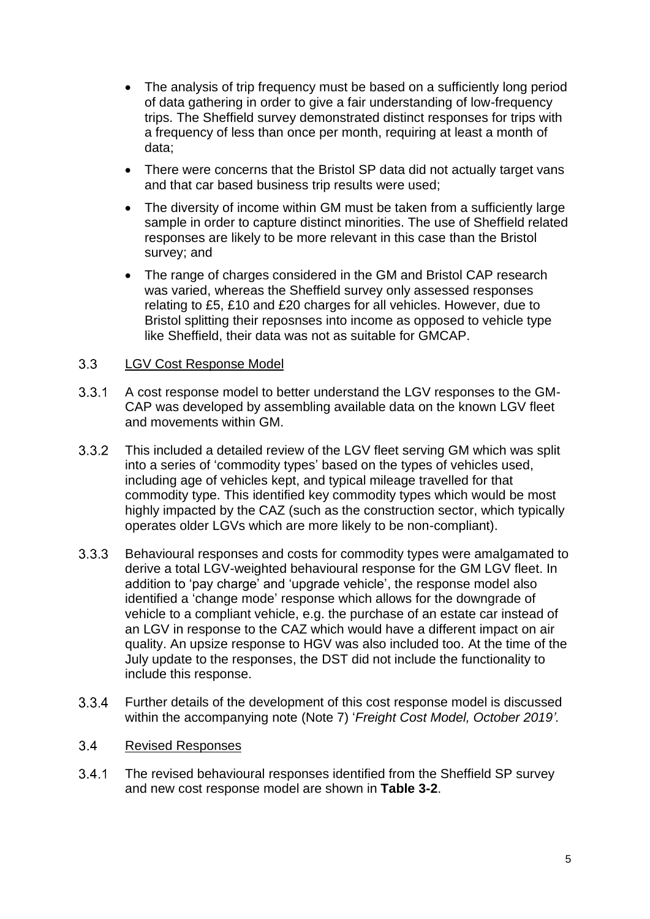- The analysis of trip frequency must be based on a sufficiently long period of data gathering in order to give a fair understanding of low-frequency trips. The Sheffield survey demonstrated distinct responses for trips with a frequency of less than once per month, requiring at least a month of data;
- There were concerns that the Bristol SP data did not actually target vans and that car based business trip results were used;
- The diversity of income within GM must be taken from a sufficiently large sample in order to capture distinct minorities. The use of Sheffield related responses are likely to be more relevant in this case than the Bristol survey; and
- The range of charges considered in the GM and Bristol CAP research was varied, whereas the Sheffield survey only assessed responses relating to £5, £10 and £20 charges for all vehicles. However, due to Bristol splitting their reposnses into income as opposed to vehicle type like Sheffield, their data was not as suitable for GMCAP.

#### $3.3$ LGV Cost Response Model

- $3.3.1$ A cost response model to better understand the LGV responses to the GM-CAP was developed by assembling available data on the known LGV fleet and movements within GM.
- $3.3.2$ This included a detailed review of the LGV fleet serving GM which was split into a series of 'commodity types' based on the types of vehicles used, including age of vehicles kept, and typical mileage travelled for that commodity type. This identified key commodity types which would be most highly impacted by the CAZ (such as the construction sector, which typically operates older LGVs which are more likely to be non-compliant).
- Behavioural responses and costs for commodity types were amalgamated to  $3.3.3$ derive a total LGV-weighted behavioural response for the GM LGV fleet. In addition to 'pay charge' and 'upgrade vehicle', the response model also identified a 'change mode' response which allows for the downgrade of vehicle to a compliant vehicle, e.g. the purchase of an estate car instead of an LGV in response to the CAZ which would have a different impact on air quality. An upsize response to HGV was also included too. At the time of the July update to the responses, the DST did not include the functionality to include this response.
- $3.3.4$ Further details of the development of this cost response model is discussed within the accompanying note (Note 7) '*Freight Cost Model, October 2019'.*

#### $3.4$ Revised Responses

 $3.4.1$ The revised behavioural responses identified from the Sheffield SP survey and new cost response model are shown in **[Table 3-2](#page-5-0)**.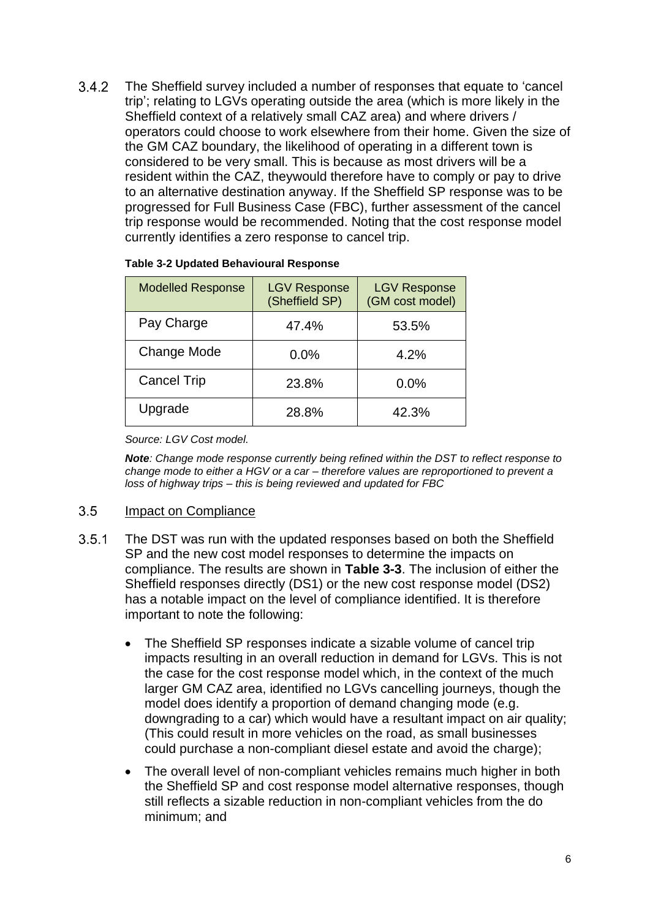$3.4.2$ The Sheffield survey included a number of responses that equate to 'cancel trip'; relating to LGVs operating outside the area (which is more likely in the Sheffield context of a relatively small CAZ area) and where drivers / operators could choose to work elsewhere from their home. Given the size of the GM CAZ boundary, the likelihood of operating in a different town is considered to be very small. This is because as most drivers will be a resident within the CAZ, theywould therefore have to comply or pay to drive to an alternative destination anyway. If the Sheffield SP response was to be progressed for Full Business Case (FBC), further assessment of the cancel trip response would be recommended. Noting that the cost response model currently identifies a zero response to cancel trip.

| <b>Modelled Response</b> | <b>LGV Response</b><br>(Sheffield SP) | <b>LGV Response</b><br>(GM cost model) |
|--------------------------|---------------------------------------|----------------------------------------|
| Pay Charge               | 47.4%                                 | 53.5%                                  |
| <b>Change Mode</b>       | 0.0%                                  | 4.2%                                   |
| <b>Cancel Trip</b>       | 23.8%                                 | 0.0%                                   |
| Upgrade                  | 28.8%                                 | 42.3%                                  |

### <span id="page-5-0"></span>**Table 3-2 Updated Behavioural Response**

*Source: LGV Cost model.* 

*Note: Change mode response currently being refined within the DST to reflect response to change mode to either a HGV or a car – therefore values are reproportioned to prevent a loss of highway trips – this is being reviewed and updated for FBC*

#### $3.5$ Impact on Compliance

- $3.5.1$ The DST was run with the updated responses based on both the Sheffield SP and the new cost model responses to determine the impacts on compliance. The results are shown in **[Table 3-3](#page-6-0)**. The inclusion of either the Sheffield responses directly (DS1) or the new cost response model (DS2) has a notable impact on the level of compliance identified. It is therefore important to note the following:
	- The Sheffield SP responses indicate a sizable volume of cancel trip impacts resulting in an overall reduction in demand for LGVs. This is not the case for the cost response model which, in the context of the much larger GM CAZ area, identified no LGVs cancelling journeys, though the model does identify a proportion of demand changing mode (e.g. downgrading to a car) which would have a resultant impact on air quality; (This could result in more vehicles on the road, as small businesses could purchase a non-compliant diesel estate and avoid the charge);
	- The overall level of non-compliant vehicles remains much higher in both the Sheffield SP and cost response model alternative responses, though still reflects a sizable reduction in non-compliant vehicles from the do minimum; and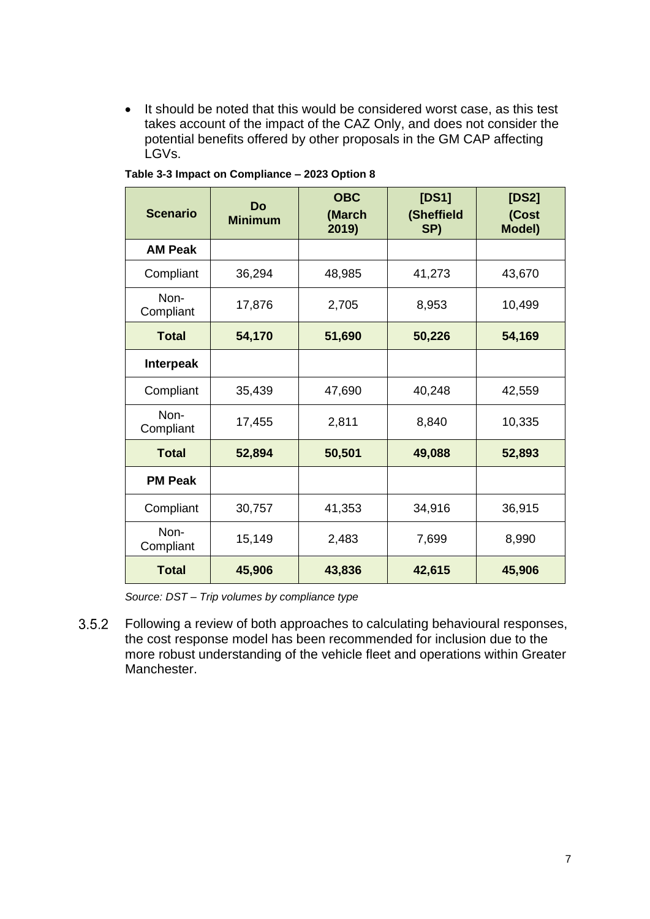• It should be noted that this would be considered worst case, as this test takes account of the impact of the CAZ Only, and does not consider the potential benefits offered by other proposals in the GM CAP affecting LGVs.

| <b>Scenario</b>   | Do<br><b>Minimum</b> | <b>OBC</b><br>(March<br>2019) | [DS1]<br>(Sheffield<br>SP) | [DS2]<br>(Cost<br><b>Model)</b> |
|-------------------|----------------------|-------------------------------|----------------------------|---------------------------------|
| <b>AM Peak</b>    |                      |                               |                            |                                 |
| Compliant         | 36,294               | 48,985                        | 41,273                     | 43,670                          |
| Non-<br>Compliant | 17,876               | 2,705                         | 8,953                      | 10,499                          |
| <b>Total</b>      | 54,170               | 51,690                        | 50,226                     | 54,169                          |
| Interpeak         |                      |                               |                            |                                 |
| Compliant         | 35,439               | 47,690                        | 40,248                     | 42,559                          |
| Non-<br>Compliant | 17,455               | 2,811                         | 8,840                      | 10,335                          |
| <b>Total</b>      | 52,894               | 50,501                        | 49,088                     | 52,893                          |
| <b>PM Peak</b>    |                      |                               |                            |                                 |
| Compliant         | 30,757               | 41,353                        | 34,916                     | 36,915                          |
| Non-<br>Compliant | 15,149               | 2,483                         | 7,699                      | 8,990                           |
| <b>Total</b>      | 45,906               | 43,836                        | 42,615                     | 45,906                          |

<span id="page-6-0"></span>**Table 3-3 Impact on Compliance – 2023 Option 8**

*Source: DST – Trip volumes by compliance type*

 $3.5.2$ Following a review of both approaches to calculating behavioural responses, the cost response model has been recommended for inclusion due to the more robust understanding of the vehicle fleet and operations within Greater Manchester.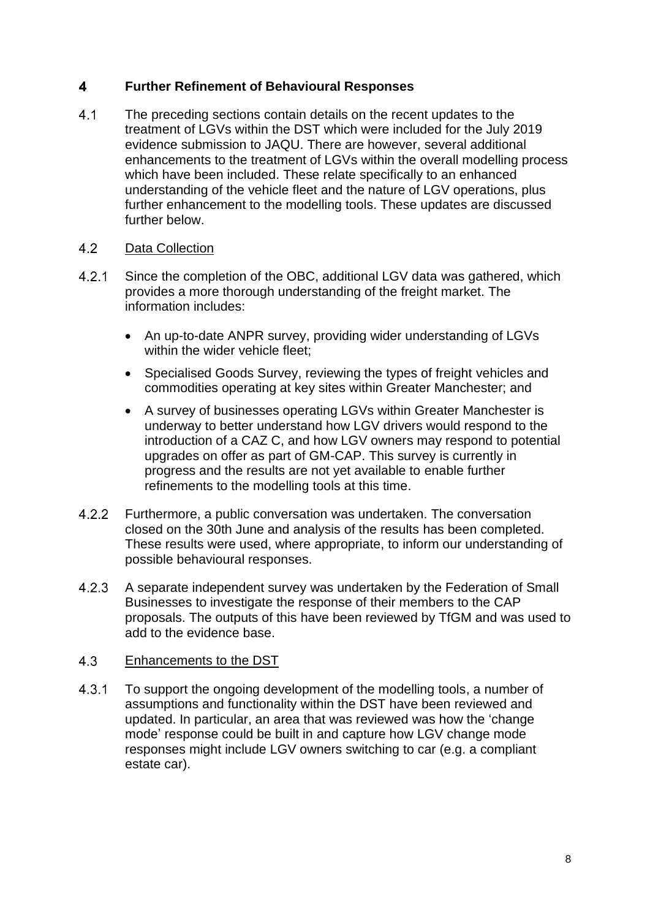#### $\overline{\mathbf{4}}$ **Further Refinement of Behavioural Responses**

 $4.1$ The preceding sections contain details on the recent updates to the treatment of LGVs within the DST which were included for the July 2019 evidence submission to JAQU. There are however, several additional enhancements to the treatment of LGVs within the overall modelling process which have been included. These relate specifically to an enhanced understanding of the vehicle fleet and the nature of LGV operations, plus further enhancement to the modelling tools. These updates are discussed further below.

#### 4.2 Data Collection

- $4.2.1$ Since the completion of the OBC, additional LGV data was gathered, which provides a more thorough understanding of the freight market. The information includes:
	- An up-to-date ANPR survey, providing wider understanding of LGVs within the wider vehicle fleet;
	- Specialised Goods Survey, reviewing the types of freight vehicles and commodities operating at key sites within Greater Manchester; and
	- A survey of businesses operating LGVs within Greater Manchester is underway to better understand how LGV drivers would respond to the introduction of a CAZ C, and how LGV owners may respond to potential upgrades on offer as part of GM-CAP. This survey is currently in progress and the results are not yet available to enable further refinements to the modelling tools at this time.
- $4.2.2$ Furthermore, a public conversation was undertaken. The conversation closed on the 30th June and analysis of the results has been completed. These results were used, where appropriate, to inform our understanding of possible behavioural responses.
- $4.2.3$ A separate independent survey was undertaken by the Federation of Small Businesses to investigate the response of their members to the CAP proposals. The outputs of this have been reviewed by TfGM and was used to add to the evidence base.

#### $4.3$ Enhancements to the DST

 $4.3.1$ To support the ongoing development of the modelling tools, a number of assumptions and functionality within the DST have been reviewed and updated. In particular, an area that was reviewed was how the 'change mode' response could be built in and capture how LGV change mode responses might include LGV owners switching to car (e.g. a compliant estate car).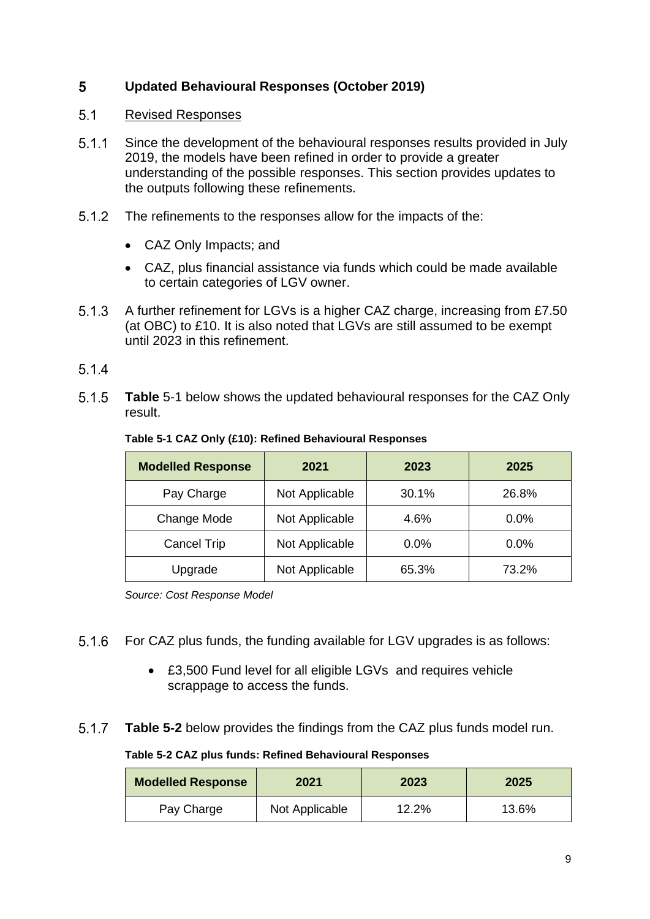#### 5 **Updated Behavioural Responses (October 2019)**

#### $5.1$ Revised Responses

- $5.1.1$ Since the development of the behavioural responses results provided in July 2019, the models have been refined in order to provide a greater understanding of the possible responses. This section provides updates to the outputs following these refinements.
- $5.1.2$ The refinements to the responses allow for the impacts of the:
	- CAZ Only Impacts; and
	- CAZ, plus financial assistance via funds which could be made available to certain categories of LGV owner.
- $5.1.3$ A further refinement for LGVs is a higher CAZ charge, increasing from £7.50 (at OBC) to £10. It is also noted that LGVs are still assumed to be exempt until 2023 in this refinement.

# $5.1.4$

 $5.1.5$ **[Table](#page-8-0)** 5-1 below shows the updated behavioural responses for the CAZ Only result.

| <b>Modelled Response</b> | 2021           | 2023    | 2025    |
|--------------------------|----------------|---------|---------|
| Pay Charge               | Not Applicable | 30.1%   | 26.8%   |
| Change Mode              | Not Applicable | 4.6%    | 0.0%    |
| Cancel Trip              | Not Applicable | $0.0\%$ | $0.0\%$ |
| Upgrade                  | Not Applicable | 65.3%   | 73.2%   |

## <span id="page-8-0"></span>**Table 5-1 CAZ Only (£10): Refined Behavioural Responses**

*Source: Cost Response Model*

- $5.1.6$ For CAZ plus funds, the funding available for LGV upgrades is as follows:
	- £3,500 Fund level for all eligible LGVs and requires vehicle scrappage to access the funds.
- <span id="page-8-1"></span> $5.1.7$ **[Table 5-2](#page-8-1)** below provides the findings from the CAZ plus funds model run.

## **Table 5-2 CAZ plus funds: Refined Behavioural Responses**

| <b>Modelled Response</b> | 2021           | 2023  | 2025  |
|--------------------------|----------------|-------|-------|
| Pay Charge               | Not Applicable | 12.2% | 13.6% |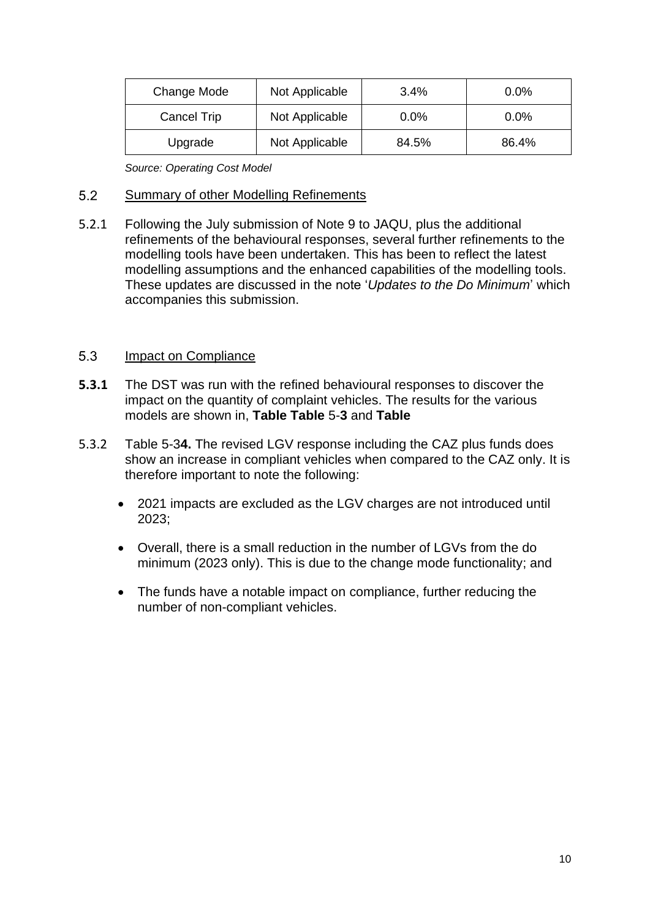| Change Mode        | Not Applicable | 3.4%  | $0.0\%$ |
|--------------------|----------------|-------|---------|
| <b>Cancel Trip</b> | Not Applicable | 0.0%  | 0.0%    |
| Upgrade            | Not Applicable | 84.5% | 86.4%   |

*Source: Operating Cost Model*

#### $5.2$ Summary of other Modelling Refinements

5.2.1 Following the July submission of Note 9 to JAQU, plus the additional refinements of the behavioural responses, several further refinements to the modelling tools have been undertaken. This has been to reflect the latest modelling assumptions and the enhanced capabilities of the modelling tools. These updates are discussed in the note '*Updates to the Do Minimum*' which accompanies this submission.

#### 5.3 Impact on Compliance

- **5.3.1** The DST was run with the refined behavioural responses to discover the impact on the quantity of complaint vehicles. The [results for the various](#page-10-1)  models are shown in, **Table [Table](#page-10-0)** 5-**3** and **Table**
- 5.3.2 [Table 5-3](#page-10-1)**4.** The revised LGV response including the CAZ plus funds does show an increase in compliant vehicles when compared to the CAZ only. It is therefore important to note the following:
	- 2021 impacts are excluded as the LGV charges are not introduced until 2023;
	- Overall, there is a small reduction in the number of LGVs from the do minimum (2023 only). This is due to the change mode functionality; and
	- The funds have a notable impact on compliance, further reducing the number of non-compliant vehicles.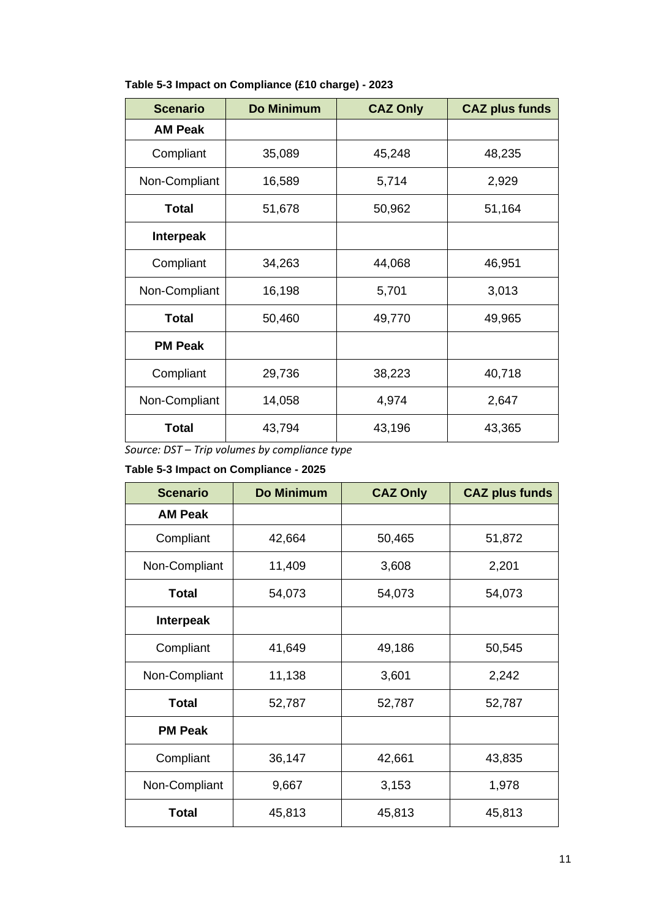| <b>Scenario</b>  | <b>Do Minimum</b> | <b>CAZ Only</b> | <b>CAZ plus funds</b> |
|------------------|-------------------|-----------------|-----------------------|
| <b>AM Peak</b>   |                   |                 |                       |
| Compliant        | 35,089            | 45,248          | 48,235                |
| Non-Compliant    | 16,589            | 5,714           | 2,929                 |
| <b>Total</b>     | 51,678            | 50,962          | 51,164                |
| <b>Interpeak</b> |                   |                 |                       |
| Compliant        | 34,263            | 44,068          | 46,951                |
| Non-Compliant    | 16,198            | 5,701           | 3,013                 |
| <b>Total</b>     | 50,460            | 49,770          | 49,965                |
| <b>PM Peak</b>   |                   |                 |                       |
| Compliant        | 29,736            | 38,223          | 40,718                |
| Non-Compliant    | 14,058            | 4,974           | 2,647                 |
| <b>Total</b>     | 43,794            | 43,196          | 43,365                |

# <span id="page-10-0"></span>**Table 5-3 Impact on Compliance (£10 charge) - 2023**

<span id="page-10-1"></span>*Source: DST – Trip volumes by compliance type*

# **Table 5-3 Impact on Compliance - 2025**

| <b>Scenario</b>  | <b>Do Minimum</b> | <b>CAZ Only</b> | <b>CAZ plus funds</b> |
|------------------|-------------------|-----------------|-----------------------|
| <b>AM Peak</b>   |                   |                 |                       |
| Compliant        | 42,664            | 50,465          | 51,872                |
| Non-Compliant    | 11,409            | 3,608           | 2,201                 |
| <b>Total</b>     | 54,073            | 54,073          | 54,073                |
| <b>Interpeak</b> |                   |                 |                       |
| Compliant        | 41,649            | 49,186          | 50,545                |
| Non-Compliant    | 11,138            | 3,601           | 2,242                 |
| <b>Total</b>     | 52,787            | 52,787          | 52,787                |
| <b>PM Peak</b>   |                   |                 |                       |
| Compliant        | 36,147            | 42,661          | 43,835                |
| Non-Compliant    | 9,667             | 3,153           | 1,978                 |
| <b>Total</b>     | 45,813            | 45,813          | 45,813                |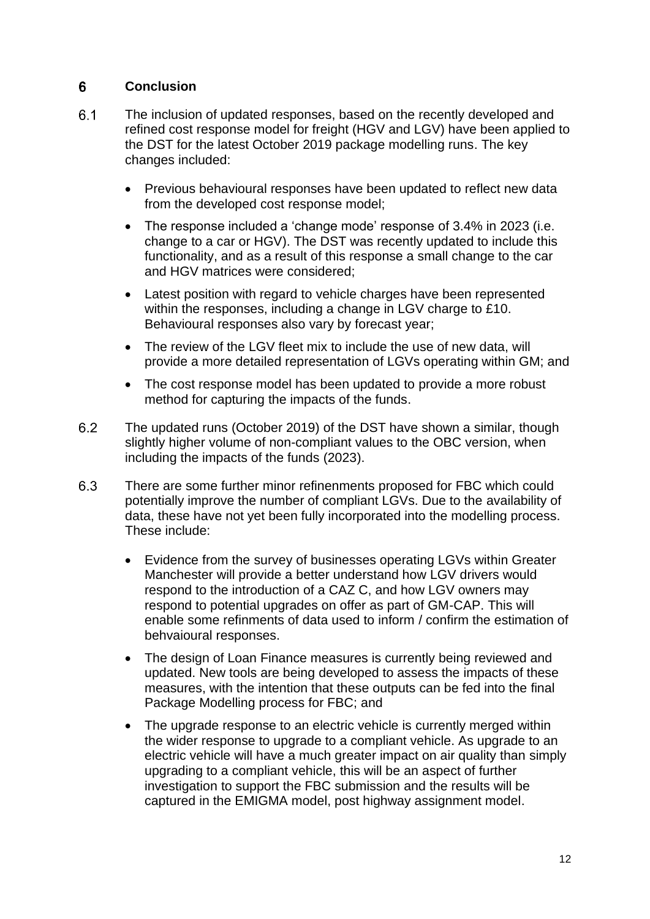#### 6 **Conclusion**

- $6.1$ The inclusion of updated responses, based on the recently developed and refined cost response model for freight (HGV and LGV) have been applied to the DST for the latest October 2019 package modelling runs. The key changes included:
	- Previous behavioural responses have been updated to reflect new data from the developed cost response model;
	- The response included a 'change mode' response of 3.4% in 2023 (i.e. change to a car or HGV). The DST was recently updated to include this functionality, and as a result of this response a small change to the car and HGV matrices were considered;
	- Latest position with regard to vehicle charges have been represented within the responses, including a change in LGV charge to £10. Behavioural responses also vary by forecast year;
	- The review of the LGV fleet mix to include the use of new data, will provide a more detailed representation of LGVs operating within GM; and
	- The cost response model has been updated to provide a more robust method for capturing the impacts of the funds.
- $6.2$ The updated runs (October 2019) of the DST have shown a similar, though slightly higher volume of non-compliant values to the OBC version, when including the impacts of the funds (2023).
- 6.3 There are some further minor refinenments proposed for FBC which could potentially improve the number of compliant LGVs. Due to the availability of data, these have not yet been fully incorporated into the modelling process. These include:
	- Evidence from the survey of businesses operating LGVs within Greater Manchester will provide a better understand how LGV drivers would respond to the introduction of a CAZ C, and how LGV owners may respond to potential upgrades on offer as part of GM-CAP. This will enable some refinments of data used to inform / confirm the estimation of behvaioural responses.
	- The design of Loan Finance measures is currently being reviewed and updated. New tools are being developed to assess the impacts of these measures, with the intention that these outputs can be fed into the final Package Modelling process for FBC; and
	- The upgrade response to an electric vehicle is currently merged within the wider response to upgrade to a compliant vehicle. As upgrade to an electric vehicle will have a much greater impact on air quality than simply upgrading to a compliant vehicle, this will be an aspect of further investigation to support the FBC submission and the results will be captured in the EMIGMA model, post highway assignment model.